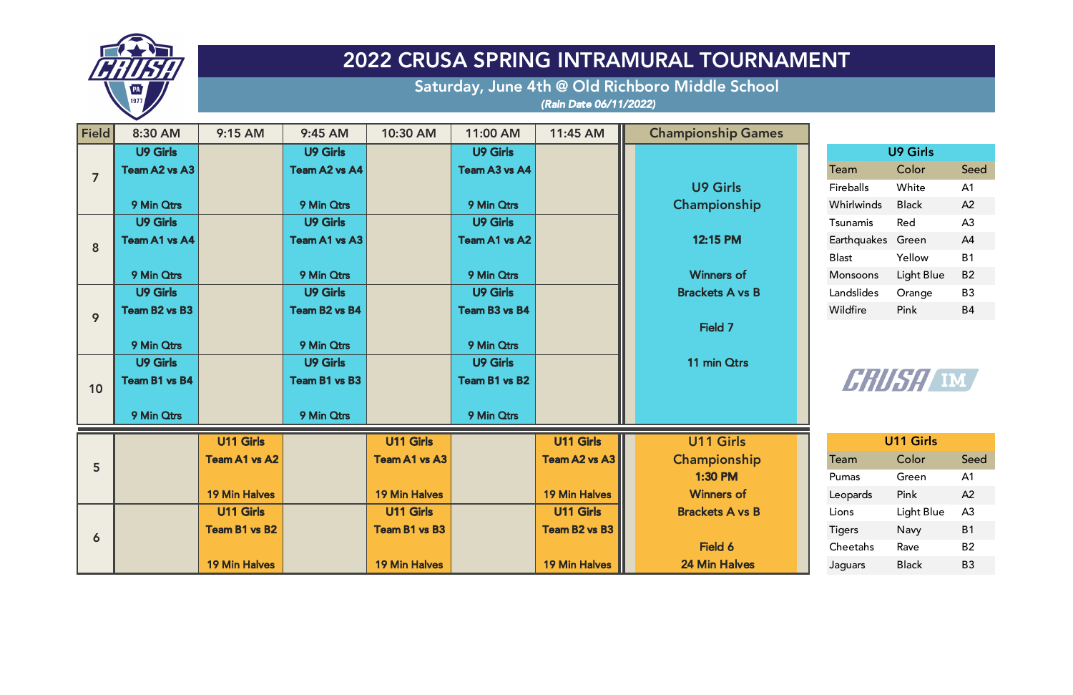| <b>Field</b>   | 8:30 AM         | 9:15 AM              | 9:45 AM         | 10:30 AM             | 11:00 AM        | 11:45 AM             | <b>Championship Games</b> |                   |                  |                |
|----------------|-----------------|----------------------|-----------------|----------------------|-----------------|----------------------|---------------------------|-------------------|------------------|----------------|
|                | <b>U9 Girls</b> |                      | <b>U9 Girls</b> |                      | <b>U9 Girls</b> |                      |                           |                   | U9 Girls         |                |
| $\overline{7}$ | Team A2 vs A3   |                      | Team A2 vs A4   |                      | Team A3 vs A4   |                      |                           | Team              | Color            | Seed           |
|                |                 |                      |                 |                      |                 |                      | <b>U9 Girls</b>           | <b>Fireballs</b>  | White            | A <sub>1</sub> |
|                | 9 Min Qtrs      |                      | 9 Min Qtrs      |                      | 9 Min Qtrs      |                      | Championship              | Whirlwinds        | <b>Black</b>     | A2             |
|                | <b>U9 Girls</b> |                      | <b>U9 Girls</b> |                      | <b>U9 Girls</b> |                      |                           | Tsunamis          | Red              | A <sub>3</sub> |
| 8              | Team A1 vs A4   |                      | Team A1 vs A3   |                      | Team A1 vs A2   |                      | 12:15 PM                  | Earthquakes Green |                  | A4             |
|                |                 |                      |                 |                      |                 |                      |                           | <b>Blast</b>      | Yellow           | <b>B1</b>      |
|                | 9 Min Otrs      |                      | 9 Min Qtrs      |                      | 9 Min Qtrs      |                      | <b>Winners of</b>         | Monsoons          | Light Blue       | <b>B2</b>      |
|                | U9 Girls        |                      | <b>U9 Girls</b> |                      | <b>U9 Girls</b> |                      | <b>Brackets A vs B</b>    | Landslides        | Orange           | <b>B3</b>      |
| 9              | Team B2 vs B3   |                      | Team B2 vs B4   |                      | Team B3 vs B4   |                      |                           | Wildfire          | Pink             | <b>B4</b>      |
|                |                 |                      |                 |                      |                 |                      | Field 7                   |                   |                  |                |
|                | 9 Min Qtrs      |                      | 9 Min Qtrs      |                      | 9 Min Qtrs      |                      |                           |                   |                  |                |
|                | <b>U9 Girls</b> |                      | <b>U9 Girls</b> |                      | <b>U9 Girls</b> |                      | 11 min Otrs               |                   |                  |                |
| 10             | Team B1 vs B4   |                      | Team B1 vs B3   |                      | Team B1 vs B2   |                      |                           |                   | Hillfy, IM       |                |
|                |                 |                      |                 |                      |                 |                      |                           |                   |                  |                |
|                | 9 Min Otrs      |                      | 9 Min Otrs      |                      | 9 Min Qtrs      |                      |                           |                   |                  |                |
|                |                 | <b>U11 Girls</b>     |                 | U11 Girls            |                 | <b>U11 Girls</b>     | <b>U11 Girls</b>          |                   | <b>U11 Girls</b> |                |
| $5\phantom{1}$ |                 | <b>Team A1 vs A2</b> |                 | <b>Team A1 vs A3</b> |                 | Team A2 vs A3        | Championship              | Team              | Color            | Seed           |
|                |                 |                      |                 |                      |                 |                      | 1:30 PM                   | Pumas             | Green            | A1             |
|                |                 | <b>19 Min Halves</b> |                 | <b>19 Min Halves</b> |                 | <b>19 Min Halves</b> | <b>Winners of</b>         | Leopards          | Pink             | A2             |
|                |                 | <b>U11 Girls</b>     |                 | <b>U11 Girls</b>     |                 | <b>U11 Girls</b>     | <b>Brackets A vs B</b>    | Lions             | Light Blue       | A <sub>3</sub> |
|                |                 | Team B1 vs B2        |                 | <b>Team B1 vs B3</b> |                 | Team B2 vs B3        |                           | <b>Tigers</b>     | Navy             | <b>B1</b>      |
| 6              |                 |                      |                 |                      |                 |                      | Field 6                   | Cheetahs          | Rave             | <b>B2</b>      |
|                |                 | <b>19 Min Halves</b> |                 | <b>19 Min Halves</b> |                 | <b>19 Min Halves</b> | <b>24 Min Halves</b>      | Jaguars           | <b>Black</b>     | <b>B3</b>      |

| <b>U9 Girls</b>  |            |                |  |  |  |  |
|------------------|------------|----------------|--|--|--|--|
| Team             | Color      | Seed           |  |  |  |  |
| <b>Fireballs</b> | White      | A <sub>1</sub> |  |  |  |  |
| Whirlwinds       | Black      | $\Delta$       |  |  |  |  |
| Tsunamis         | Red        | A <sub>3</sub> |  |  |  |  |
| Earthquakes      | Green      | A4             |  |  |  |  |
| Blast            | Yellow     | B1             |  |  |  |  |
| Monsoons         | Light Blue | B2             |  |  |  |  |
| Landslides       | Orange     | B <sub>3</sub> |  |  |  |  |
| Wildfire         | Pink       | R4             |  |  |  |  |



| <b>U11 Girls</b> |              |                |  |  |  |  |
|------------------|--------------|----------------|--|--|--|--|
| Team             | Color        | Seed           |  |  |  |  |
| Pumas            | Green        | A <sub>1</sub> |  |  |  |  |
| Leopards         | Pink         | A2             |  |  |  |  |
| Lions            | Light Blue   | A <sub>3</sub> |  |  |  |  |
| <b>Tigers</b>    | Navy         | <b>B1</b>      |  |  |  |  |
| Cheetahs         | Rave         | B <sub>2</sub> |  |  |  |  |
| Jaguars          | <b>Black</b> | B3             |  |  |  |  |



## 2022 CRUSA SPRING INTRAMURAL TOURNAMENT

Saturday, June 4th @ Old Richboro Middle School *(Rain Date 06/11/2022)*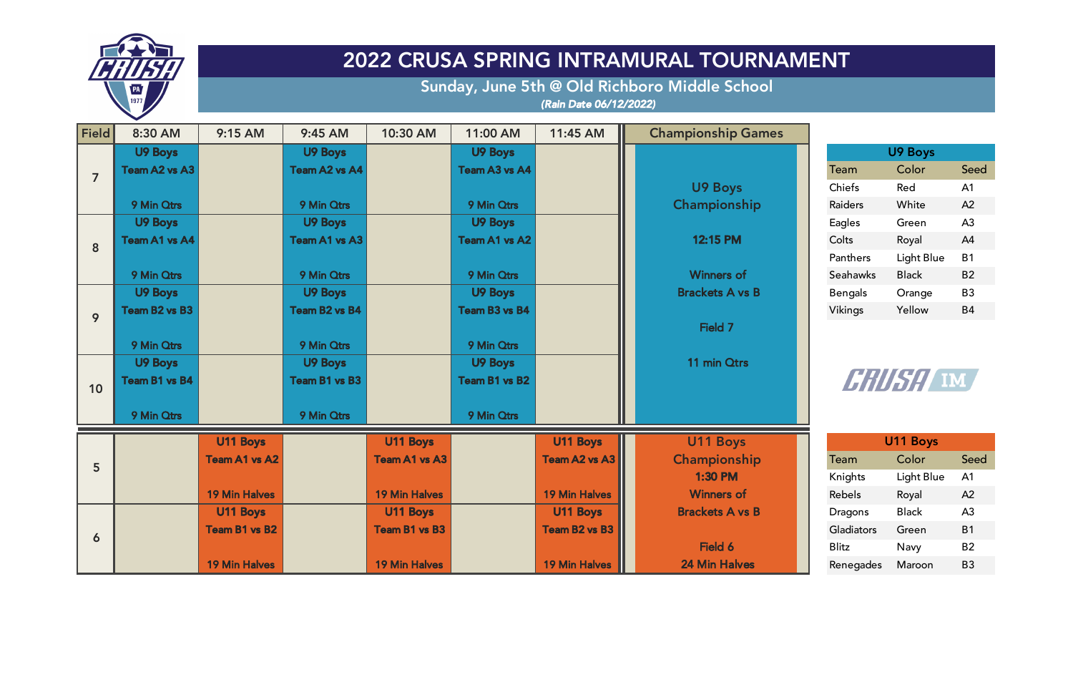| <b>U9 Boys</b> |            |                |  |  |  |  |
|----------------|------------|----------------|--|--|--|--|
| Team           | Color      | Seed           |  |  |  |  |
| Chiefs         | Red        | A <sub>1</sub> |  |  |  |  |
| Raiders        | White      | A <sub>2</sub> |  |  |  |  |
| Eagles         | Green      | A <sub>3</sub> |  |  |  |  |
| Colts          | Royal      | $\Delta 4$     |  |  |  |  |
| Panthers       | Light Blue | B1             |  |  |  |  |
| Seahawks       | Black      | B2             |  |  |  |  |
| <b>Bengals</b> | Orange     | B3             |  |  |  |  |
| Vikings        | Yellow     | R4             |  |  |  |  |



| <b>Field</b>   | 8:30 AM              | 9:15 AM              | 9:45 AM        | 10:30 AM             | 11:00 AM             | 11:45 AM             | <b>Championship Games</b> |                 |              |                |
|----------------|----------------------|----------------------|----------------|----------------------|----------------------|----------------------|---------------------------|-----------------|--------------|----------------|
|                | <b>U9 Boys</b>       |                      | U9 Boys        |                      | <b>U9 Boys</b>       |                      |                           |                 | U9 Boys      |                |
| $\overline{7}$ | Team A2 vs A3        |                      | Team A2 vs A4  |                      | Team A3 vs A4        |                      |                           | Team            | Color        | Seed           |
|                |                      |                      |                |                      |                      |                      | U9 Boys                   | Chiefs          | Red          | A <sub>1</sub> |
|                | 9 Min Otrs           |                      | 9 Min Otrs     |                      | 9 Min Otrs           |                      | Championship              | <b>Raiders</b>  | White        | A2             |
|                | <b>U9 Boys</b>       |                      | U9 Boys        |                      | <b>U9 Boys</b>       |                      |                           | Eagles          | Green        | A <sub>3</sub> |
| 8              | Team A1 vs A4        |                      | Team A1 vs A3  |                      | Team A1 vs A2        |                      | 12:15 PM                  | Colts           | Royal        | A4             |
|                |                      |                      |                |                      |                      |                      |                           | Panthers        | Light Blue   | <b>B1</b>      |
|                | 9 Min Otrs           |                      | 9 Min Qtrs     |                      | 9 Min Qtrs           |                      | <b>Winners of</b>         | <b>Seahawks</b> | <b>Black</b> | <b>B2</b>      |
|                | <b>U9 Boys</b>       |                      | <b>U9 Boys</b> |                      | <b>U9 Boys</b>       |                      | <b>Brackets A vs B</b>    | <b>Bengals</b>  | Orange       | <b>B3</b>      |
| 9              | Team B2 vs B3        |                      | Team B2 vs B4  |                      | <b>Team B3 vs B4</b> |                      |                           | Vikings         | Yellow       | <b>B4</b>      |
|                |                      |                      |                |                      |                      |                      | Field 7                   |                 |              |                |
|                | 9 Min Otrs           |                      | 9 Min Otrs     |                      | 9 Min Qtrs           |                      |                           |                 |              |                |
|                | <b>U9 Boys</b>       |                      | U9 Boys        |                      | U9 Boys              |                      | 11 min Otrs               |                 |              |                |
| 10             | <b>Team B1 vs B4</b> |                      | Team B1 vs B3  |                      | Team B1 vs B2        |                      |                           |                 | Hillfy, IM   |                |
|                |                      |                      |                |                      |                      |                      |                           |                 |              |                |
|                | 9 Min Qtrs           |                      | 9 Min Qtrs     |                      | 9 Min Qtrs           |                      |                           |                 |              |                |
|                |                      | U11 Boys             |                | U11 Boys             |                      | U11 Boys             | U11 Boys                  |                 | U11 Boys     |                |
|                |                      | <b>Team A1 vs A2</b> |                | <b>Team A1 vs A3</b> |                      | Team A2 vs A3        | Championship              | Team            | Color        | Seed           |
| 5              |                      |                      |                |                      |                      |                      | <b>1:30 PM</b>            | Knights         | Light Blue   | A1             |
|                |                      | <b>19 Min Halves</b> |                | <b>19 Min Halves</b> |                      | <b>19 Min Halves</b> | <b>Winners of</b>         | Rebels          | Royal        | A2             |
|                |                      | U11 Boys             |                | U11 Boys             |                      | U11 Boys             | <b>Brackets A vs B</b>    | <b>Dragons</b>  | <b>Black</b> | A3             |
|                |                      | Team B1 vs B2        |                | <b>Team B1 vs B3</b> |                      | <b>Team B2 vs B3</b> |                           | Gladiators      | Green        | <b>B1</b>      |
| 6              |                      |                      |                |                      |                      |                      | Field 6                   | <b>Blitz</b>    | Navy         | <b>B2</b>      |
|                |                      | <b>19 Min Halves</b> |                | <b>19 Min Halves</b> |                      | <b>19 Min Halves</b> | <b>24 Min Halves</b>      | Renegades       | Maroon       | <b>B3</b>      |

| <b>U11 Boys</b>     | <b>U11 Boys</b> |              |                |
|---------------------|-----------------|--------------|----------------|
| ampionship          | Team            | Color        | Seed           |
| <b>1:30 PM</b>      | Knights         | Light Blue   | A <sub>1</sub> |
| <b>Winners of</b>   | <b>Rebels</b>   | Royal        | A2             |
| ackets A vs B       | <b>Dragons</b>  | <b>Black</b> | A <sub>3</sub> |
|                     | Gladiators      | Green        | <b>B1</b>      |
| Field 6             | <b>Blitz</b>    | Navy         | <b>B2</b>      |
| <b>4 Min Halves</b> | Renegades       | Maroon       | <b>B3</b>      |



## 2022 CRUSA SPRING INTRAMURAL TOURNAMENT

Sunday, June 5th @ Old Richboro Middle School *(Rain Date 06/12/2022)*